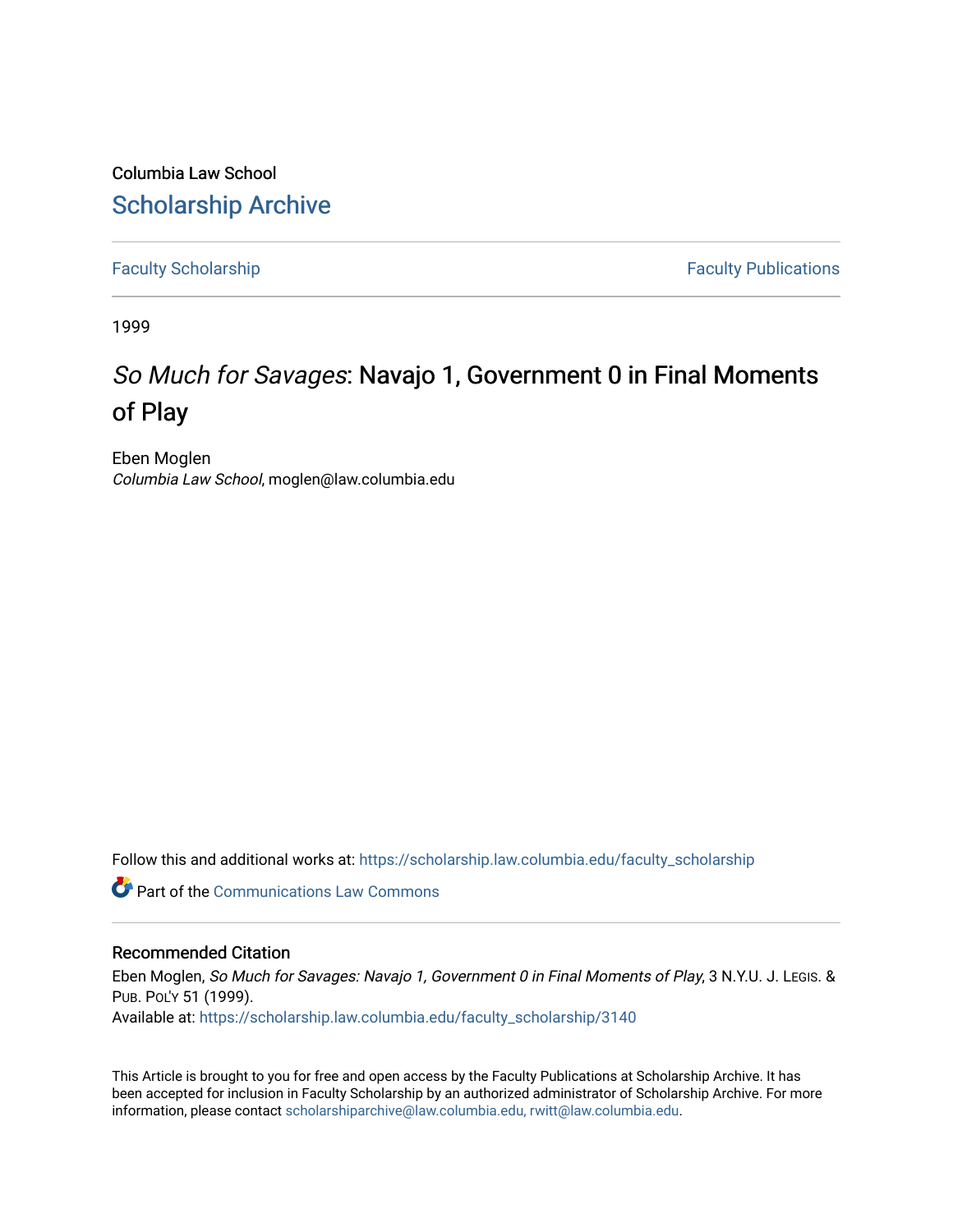Columbia Law School [Scholarship Archive](https://scholarship.law.columbia.edu/) 

[Faculty Scholarship](https://scholarship.law.columbia.edu/faculty_scholarship) **Faculty Scholarship Faculty Publications** 

1999

## So Much for Savages: Navajo 1, Government 0 in Final Moments of Play

Eben Moglen Columbia Law School, moglen@law.columbia.edu

Follow this and additional works at: [https://scholarship.law.columbia.edu/faculty\\_scholarship](https://scholarship.law.columbia.edu/faculty_scholarship?utm_source=scholarship.law.columbia.edu%2Ffaculty_scholarship%2F3140&utm_medium=PDF&utm_campaign=PDFCoverPages)

**C** Part of the Communications Law Commons

## Recommended Citation

Eben Moglen, So Much for Savages: Navajo 1, Government 0 in Final Moments of Play, 3 N.Y.U. J. LEGIS. & PUB. POL'Y 51 (1999). Available at: [https://scholarship.law.columbia.edu/faculty\\_scholarship/3140](https://scholarship.law.columbia.edu/faculty_scholarship/3140?utm_source=scholarship.law.columbia.edu%2Ffaculty_scholarship%2F3140&utm_medium=PDF&utm_campaign=PDFCoverPages)

This Article is brought to you for free and open access by the Faculty Publications at Scholarship Archive. It has been accepted for inclusion in Faculty Scholarship by an authorized administrator of Scholarship Archive. For more information, please contact [scholarshiparchive@law.columbia.edu, rwitt@law.columbia.edu](mailto:scholarshiparchive@law.columbia.edu,%20rwitt@law.columbia.edu).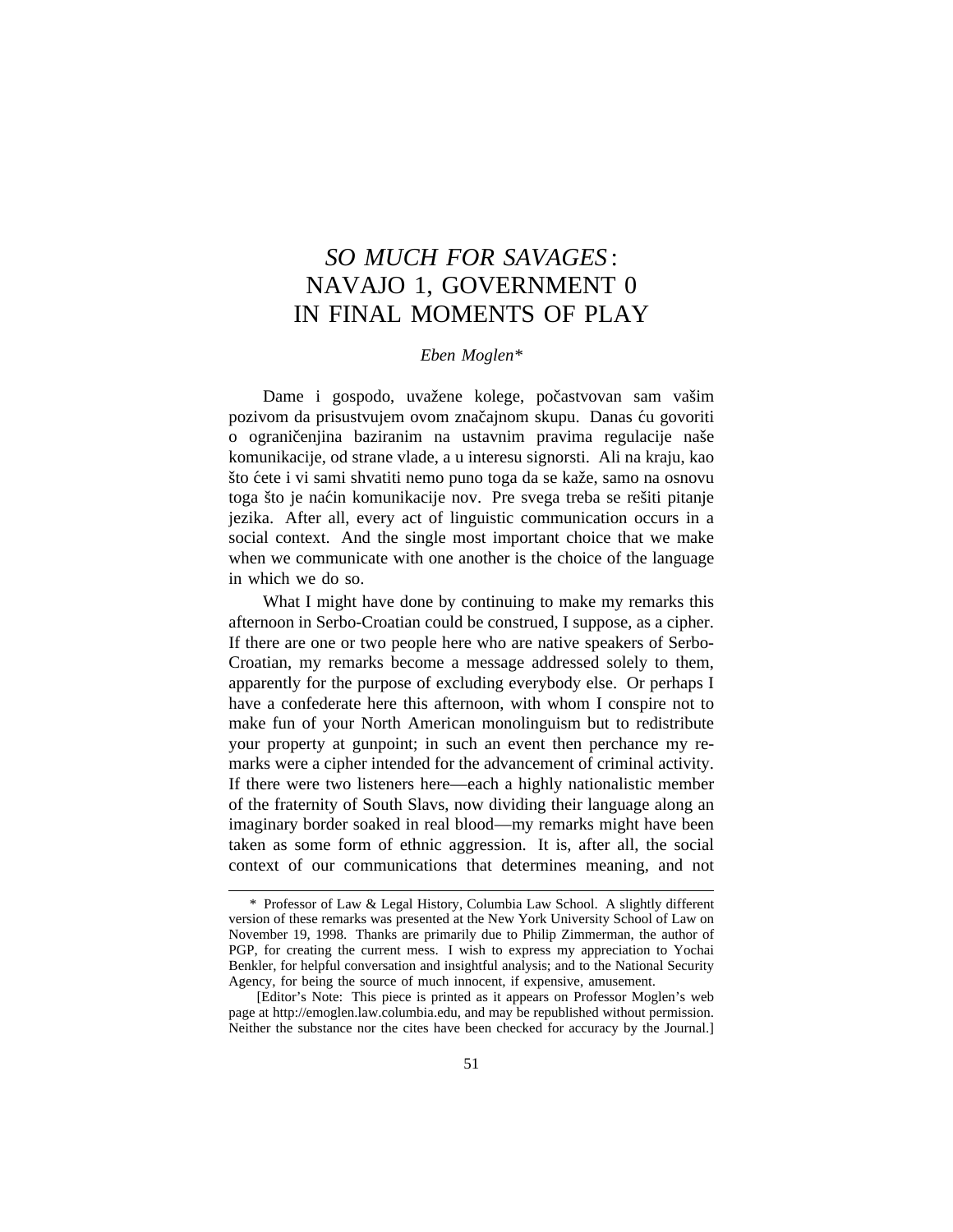## *SO MUCH FOR SAVAGES* : NAVAJO 1, GOVERNMENT 0 IN FINAL MOMENTS OF PLAY

## *Eben Moglen\**

Dame i gospodo, uvažene kolege, počastvovan sam vašim pozivom da prisustvujem ovom značajnom skupu. Danas ću govoriti o ograničenjina baziranim na ustavnim pravima regulacije naše komunikacije, od strane vlade, a u interesu signorsti. Ali na kraju, kao što ćete i vi sami shvatiti nemo puno toga da se kaže, samo na osnovu toga što je naćin komunikacije nov. Pre svega treba se rešiti pitanje jezika. After all, every act of linguistic communication occurs in a social context. And the single most important choice that we make when we communicate with one another is the choice of the language in which we do so.

What I might have done by continuing to make my remarks this afternoon in Serbo-Croatian could be construed, I suppose, as a cipher. If there are one or two people here who are native speakers of Serbo-Croatian, my remarks become a message addressed solely to them, apparently for the purpose of excluding everybody else. Or perhaps I have a confederate here this afternoon, with whom I conspire not to make fun of your North American monolinguism but to redistribute your property at gunpoint; in such an event then perchance my remarks were a cipher intended for the advancement of criminal activity. If there were two listeners here—each a highly nationalistic member of the fraternity of South Slavs, now dividing their language along an imaginary border soaked in real blood—my remarks might have been taken as some form of ethnic aggression. It is, after all, the social context of our communications that determines meaning, and not

<sup>\*</sup> Professor of Law & Legal History, Columbia Law School. A slightly different version of these remarks was presented at the New York University School of Law on November 19, 1998. Thanks are primarily due to Philip Zimmerman, the author of PGP, for creating the current mess. I wish to express my appreciation to Yochai Benkler, for helpful conversation and insightful analysis; and to the National Security Agency, for being the source of much innocent, if expensive, amusement.

<sup>[</sup>Editor's Note: This piece is printed as it appears on Professor Moglen's web page at http://emoglen.law.columbia.edu, and may be republished without permission. Neither the substance nor the cites have been checked for accuracy by the Journal.]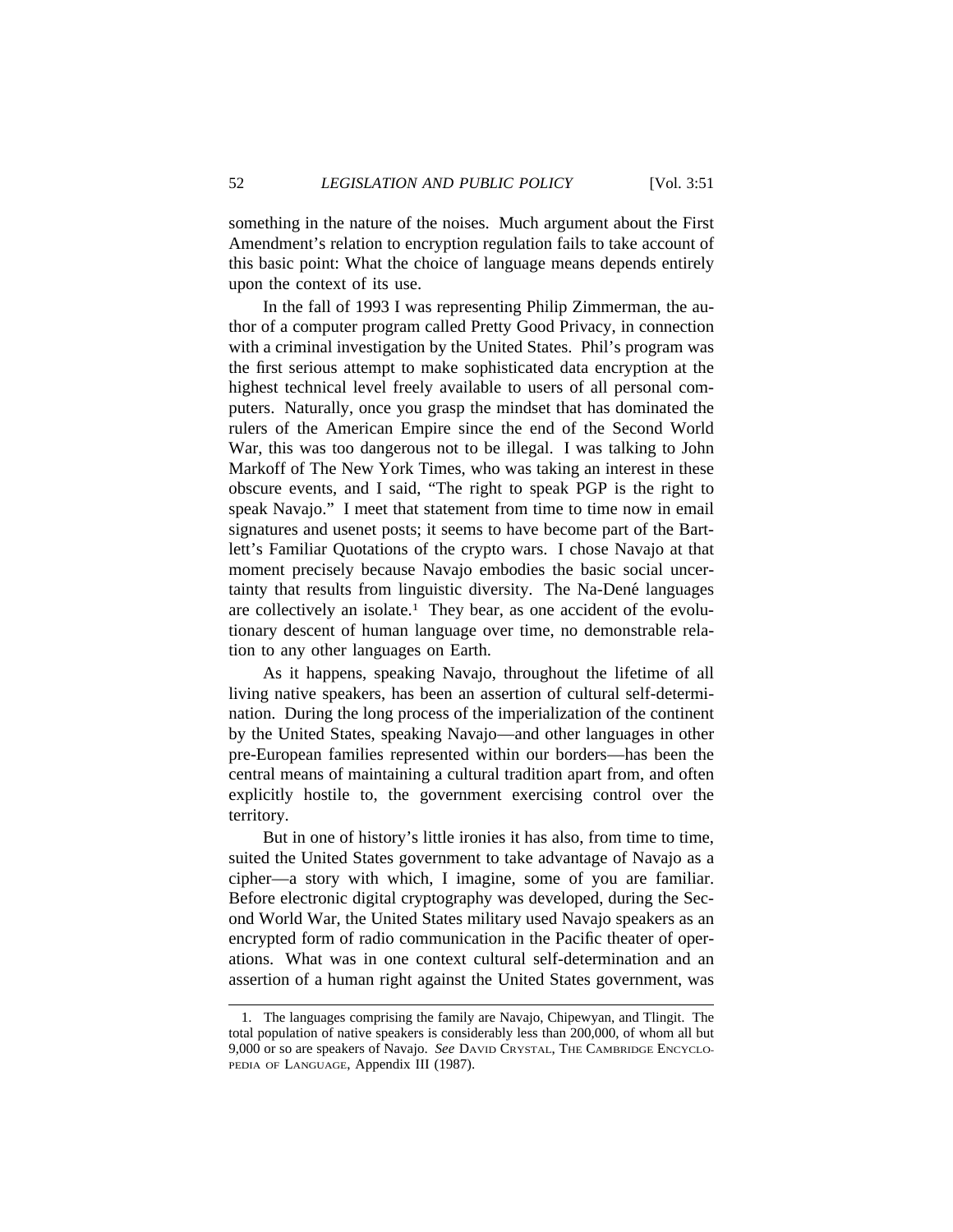something in the nature of the noises. Much argument about the First Amendment's relation to encryption regulation fails to take account of this basic point: What the choice of language means depends entirely upon the context of its use.

In the fall of 1993 I was representing Philip Zimmerman, the author of a computer program called Pretty Good Privacy, in connection with a criminal investigation by the United States. Phil's program was the first serious attempt to make sophisticated data encryption at the highest technical level freely available to users of all personal computers. Naturally, once you grasp the mindset that has dominated the rulers of the American Empire since the end of the Second World War, this was too dangerous not to be illegal. I was talking to John Markoff of The New York Times, who was taking an interest in these obscure events, and I said, "The right to speak PGP is the right to speak Navajo." I meet that statement from time to time now in email signatures and usenet posts; it seems to have become part of the Bartlett's Familiar Quotations of the crypto wars. I chose Navajo at that moment precisely because Navajo embodies the basic social uncertainty that results from linguistic diversity. The Na-Dené languages are collectively an isolate.<sup>1</sup> They bear, as one accident of the evolutionary descent of human language over time, no demonstrable relation to any other languages on Earth.

As it happens, speaking Navajo, throughout the lifetime of all living native speakers, has been an assertion of cultural self-determination. During the long process of the imperialization of the continent by the United States, speaking Navajo—and other languages in other pre-European families represented within our borders—has been the central means of maintaining a cultural tradition apart from, and often explicitly hostile to, the government exercising control over the territory.

But in one of history's little ironies it has also, from time to time, suited the United States government to take advantage of Navajo as a cipher—a story with which, I imagine, some of you are familiar. Before electronic digital cryptography was developed, during the Second World War, the United States military used Navajo speakers as an encrypted form of radio communication in the Pacific theater of operations. What was in one context cultural self-determination and an assertion of a human right against the United States government, was

<sup>1.</sup> The languages comprising the family are Navajo, Chipewyan, and Tlingit. The total population of native speakers is considerably less than 200,000, of whom all but 9,000 or so are speakers of Navajo. *See* DAVID CRYSTAL, THE CAMBRIDGE ENCYCLO-PEDIA OF LANGUAGE, Appendix III (1987).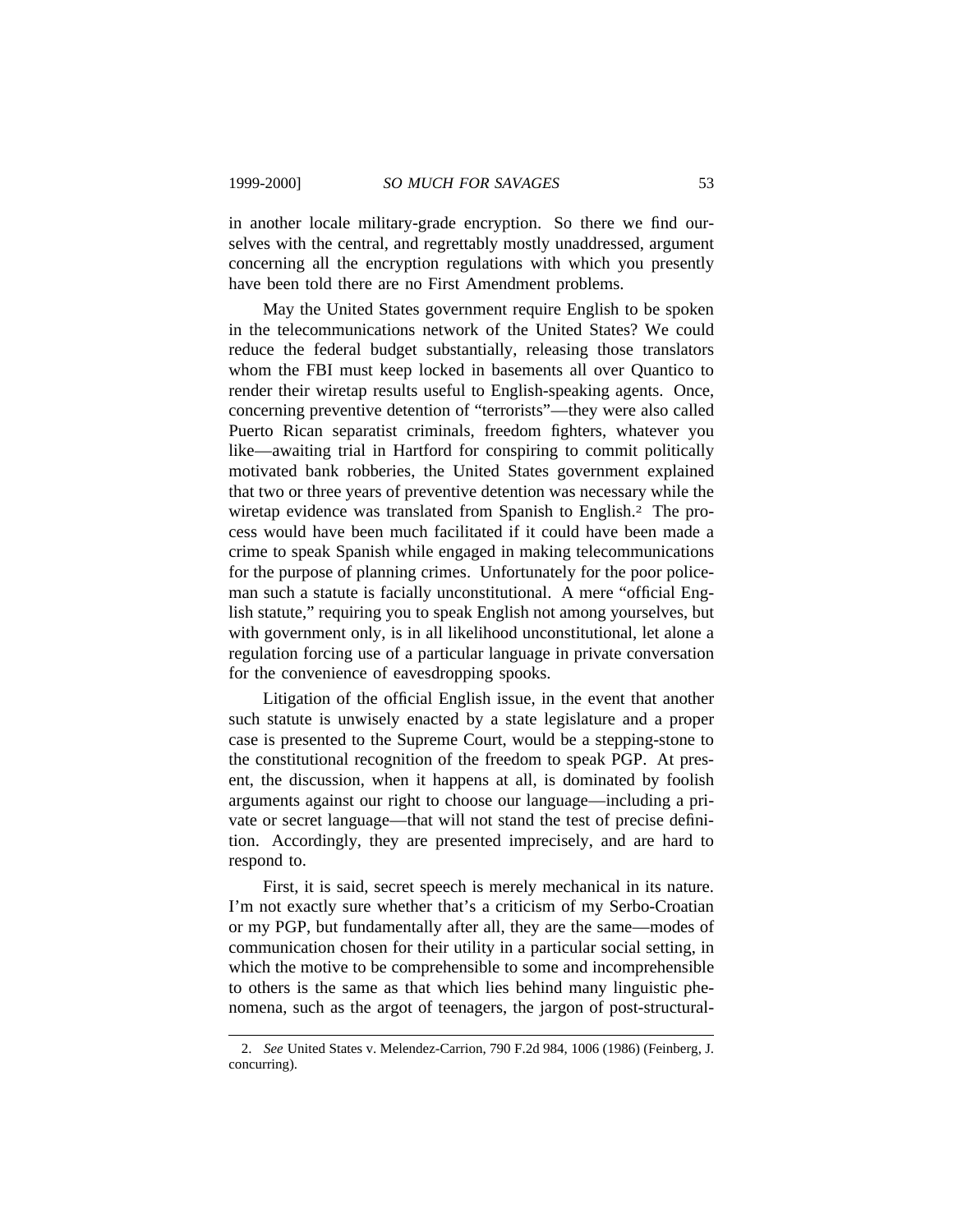in another locale military-grade encryption. So there we find ourselves with the central, and regrettably mostly unaddressed, argument concerning all the encryption regulations with which you presently have been told there are no First Amendment problems.

May the United States government require English to be spoken in the telecommunications network of the United States? We could reduce the federal budget substantially, releasing those translators whom the FBI must keep locked in basements all over Quantico to render their wiretap results useful to English-speaking agents. Once, concerning preventive detention of "terrorists"—they were also called Puerto Rican separatist criminals, freedom fighters, whatever you like—awaiting trial in Hartford for conspiring to commit politically motivated bank robberies, the United States government explained that two or three years of preventive detention was necessary while the wiretap evidence was translated from Spanish to English.2 The process would have been much facilitated if it could have been made a crime to speak Spanish while engaged in making telecommunications for the purpose of planning crimes. Unfortunately for the poor policeman such a statute is facially unconstitutional. A mere "official English statute," requiring you to speak English not among yourselves, but with government only, is in all likelihood unconstitutional, let alone a regulation forcing use of a particular language in private conversation for the convenience of eavesdropping spooks.

Litigation of the official English issue, in the event that another such statute is unwisely enacted by a state legislature and a proper case is presented to the Supreme Court, would be a stepping-stone to the constitutional recognition of the freedom to speak PGP. At present, the discussion, when it happens at all, is dominated by foolish arguments against our right to choose our language—including a private or secret language—that will not stand the test of precise definition. Accordingly, they are presented imprecisely, and are hard to respond to.

First, it is said, secret speech is merely mechanical in its nature. I'm not exactly sure whether that's a criticism of my Serbo-Croatian or my PGP, but fundamentally after all, they are the same—modes of communication chosen for their utility in a particular social setting, in which the motive to be comprehensible to some and incomprehensible to others is the same as that which lies behind many linguistic phenomena, such as the argot of teenagers, the jargon of post-structural-

<sup>2.</sup> *See* United States v. Melendez-Carrion, 790 F.2d 984, 1006 (1986) (Feinberg, J. concurring).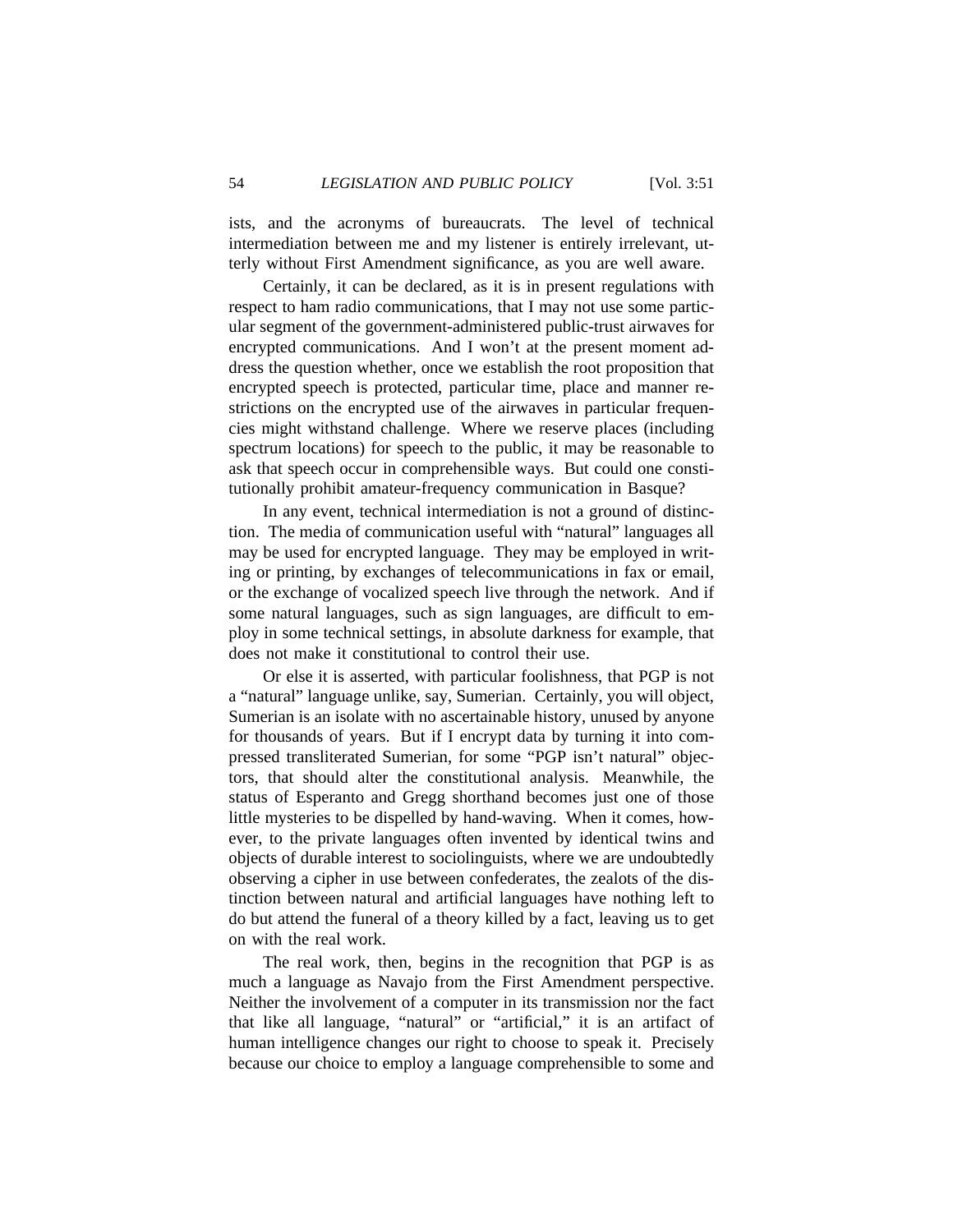ists, and the acronyms of bureaucrats. The level of technical intermediation between me and my listener is entirely irrelevant, utterly without First Amendment significance, as you are well aware.

Certainly, it can be declared, as it is in present regulations with respect to ham radio communications, that I may not use some particular segment of the government-administered public-trust airwaves for encrypted communications. And I won't at the present moment address the question whether, once we establish the root proposition that encrypted speech is protected, particular time, place and manner restrictions on the encrypted use of the airwaves in particular frequencies might withstand challenge. Where we reserve places (including spectrum locations) for speech to the public, it may be reasonable to ask that speech occur in comprehensible ways. But could one constitutionally prohibit amateur-frequency communication in Basque?

In any event, technical intermediation is not a ground of distinction. The media of communication useful with "natural" languages all may be used for encrypted language. They may be employed in writing or printing, by exchanges of telecommunications in fax or email, or the exchange of vocalized speech live through the network. And if some natural languages, such as sign languages, are difficult to employ in some technical settings, in absolute darkness for example, that does not make it constitutional to control their use.

Or else it is asserted, with particular foolishness, that PGP is not a "natural" language unlike, say, Sumerian. Certainly, you will object, Sumerian is an isolate with no ascertainable history, unused by anyone for thousands of years. But if I encrypt data by turning it into compressed transliterated Sumerian, for some "PGP isn't natural" objectors, that should alter the constitutional analysis. Meanwhile, the status of Esperanto and Gregg shorthand becomes just one of those little mysteries to be dispelled by hand-waving. When it comes, however, to the private languages often invented by identical twins and objects of durable interest to sociolinguists, where we are undoubtedly observing a cipher in use between confederates, the zealots of the distinction between natural and artificial languages have nothing left to do but attend the funeral of a theory killed by a fact, leaving us to get on with the real work.

The real work, then, begins in the recognition that PGP is as much a language as Navajo from the First Amendment perspective. Neither the involvement of a computer in its transmission nor the fact that like all language, "natural" or "artificial," it is an artifact of human intelligence changes our right to choose to speak it. Precisely because our choice to employ a language comprehensible to some and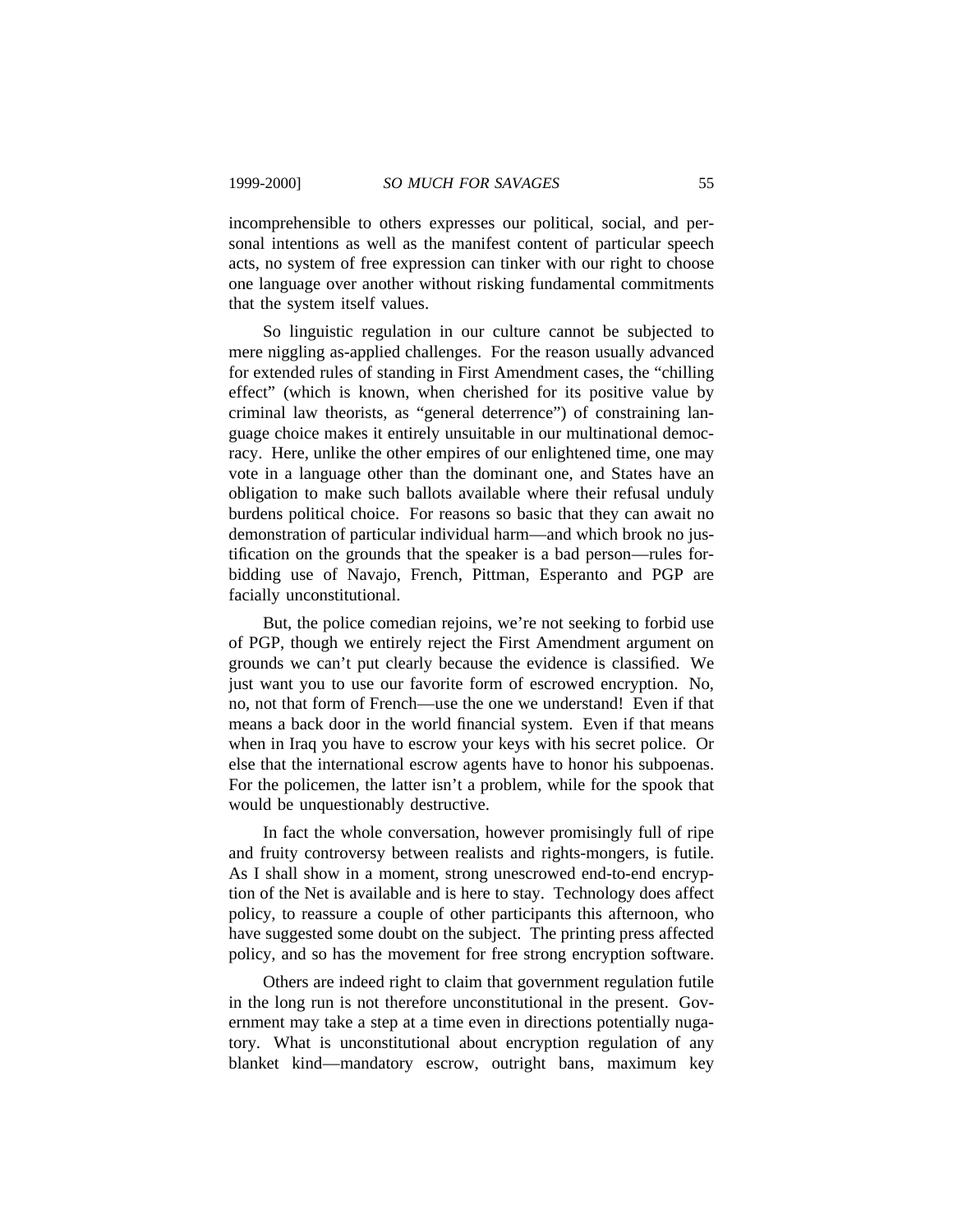incomprehensible to others expresses our political, social, and personal intentions as well as the manifest content of particular speech acts, no system of free expression can tinker with our right to choose one language over another without risking fundamental commitments that the system itself values.

So linguistic regulation in our culture cannot be subjected to mere niggling as-applied challenges. For the reason usually advanced for extended rules of standing in First Amendment cases, the "chilling effect" (which is known, when cherished for its positive value by criminal law theorists, as "general deterrence") of constraining language choice makes it entirely unsuitable in our multinational democracy. Here, unlike the other empires of our enlightened time, one may vote in a language other than the dominant one, and States have an obligation to make such ballots available where their refusal unduly burdens political choice. For reasons so basic that they can await no demonstration of particular individual harm—and which brook no justification on the grounds that the speaker is a bad person—rules forbidding use of Navajo, French, Pittman, Esperanto and PGP are facially unconstitutional.

But, the police comedian rejoins, we're not seeking to forbid use of PGP, though we entirely reject the First Amendment argument on grounds we can't put clearly because the evidence is classified. We just want you to use our favorite form of escrowed encryption. No, no, not that form of French—use the one we understand! Even if that means a back door in the world financial system. Even if that means when in Iraq you have to escrow your keys with his secret police. Or else that the international escrow agents have to honor his subpoenas. For the policemen, the latter isn't a problem, while for the spook that would be unquestionably destructive.

In fact the whole conversation, however promisingly full of ripe and fruity controversy between realists and rights-mongers, is futile. As I shall show in a moment, strong unescrowed end-to-end encryption of the Net is available and is here to stay. Technology does affect policy, to reassure a couple of other participants this afternoon, who have suggested some doubt on the subject. The printing press affected policy, and so has the movement for free strong encryption software.

Others are indeed right to claim that government regulation futile in the long run is not therefore unconstitutional in the present. Government may take a step at a time even in directions potentially nugatory. What is unconstitutional about encryption regulation of any blanket kind—mandatory escrow, outright bans, maximum key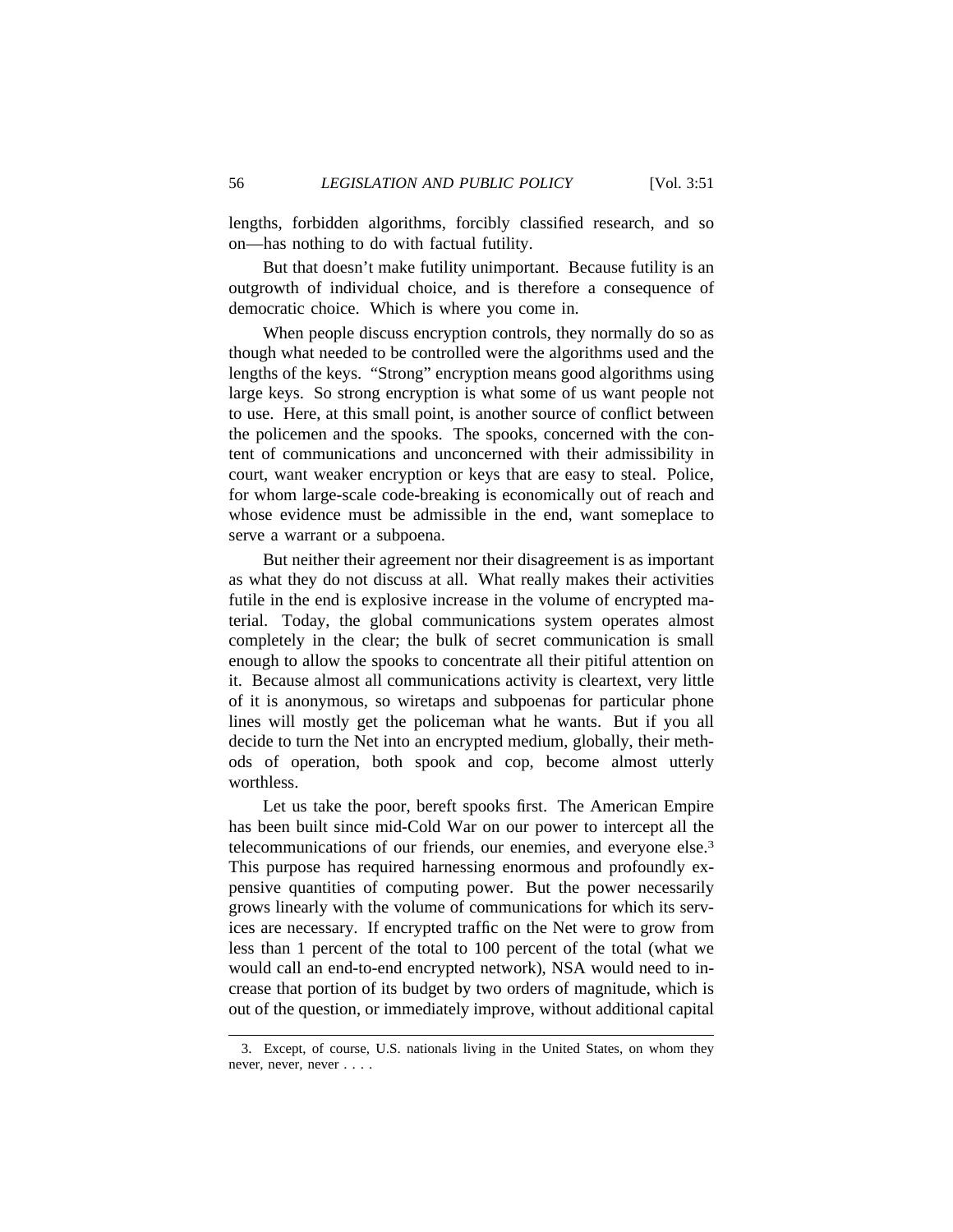lengths, forbidden algorithms, forcibly classified research, and so on—has nothing to do with factual futility.

But that doesn't make futility unimportant. Because futility is an outgrowth of individual choice, and is therefore a consequence of democratic choice. Which is where you come in.

When people discuss encryption controls, they normally do so as though what needed to be controlled were the algorithms used and the lengths of the keys. "Strong" encryption means good algorithms using large keys. So strong encryption is what some of us want people not to use. Here, at this small point, is another source of conflict between the policemen and the spooks. The spooks, concerned with the content of communications and unconcerned with their admissibility in court, want weaker encryption or keys that are easy to steal. Police, for whom large-scale code-breaking is economically out of reach and whose evidence must be admissible in the end, want someplace to serve a warrant or a subpoena.

But neither their agreement nor their disagreement is as important as what they do not discuss at all. What really makes their activities futile in the end is explosive increase in the volume of encrypted material. Today, the global communications system operates almost completely in the clear; the bulk of secret communication is small enough to allow the spooks to concentrate all their pitiful attention on it. Because almost all communications activity is cleartext, very little of it is anonymous, so wiretaps and subpoenas for particular phone lines will mostly get the policeman what he wants. But if you all decide to turn the Net into an encrypted medium, globally, their methods of operation, both spook and cop, become almost utterly worthless.

Let us take the poor, bereft spooks first. The American Empire has been built since mid-Cold War on our power to intercept all the telecommunications of our friends, our enemies, and everyone else.<sup>3</sup> This purpose has required harnessing enormous and profoundly expensive quantities of computing power. But the power necessarily grows linearly with the volume of communications for which its services are necessary. If encrypted traffic on the Net were to grow from less than 1 percent of the total to 100 percent of the total (what we would call an end-to-end encrypted network), NSA would need to increase that portion of its budget by two orders of magnitude, which is out of the question, or immediately improve, without additional capital

<sup>3.</sup> Except, of course, U.S. nationals living in the United States, on whom they never, never, never . . . .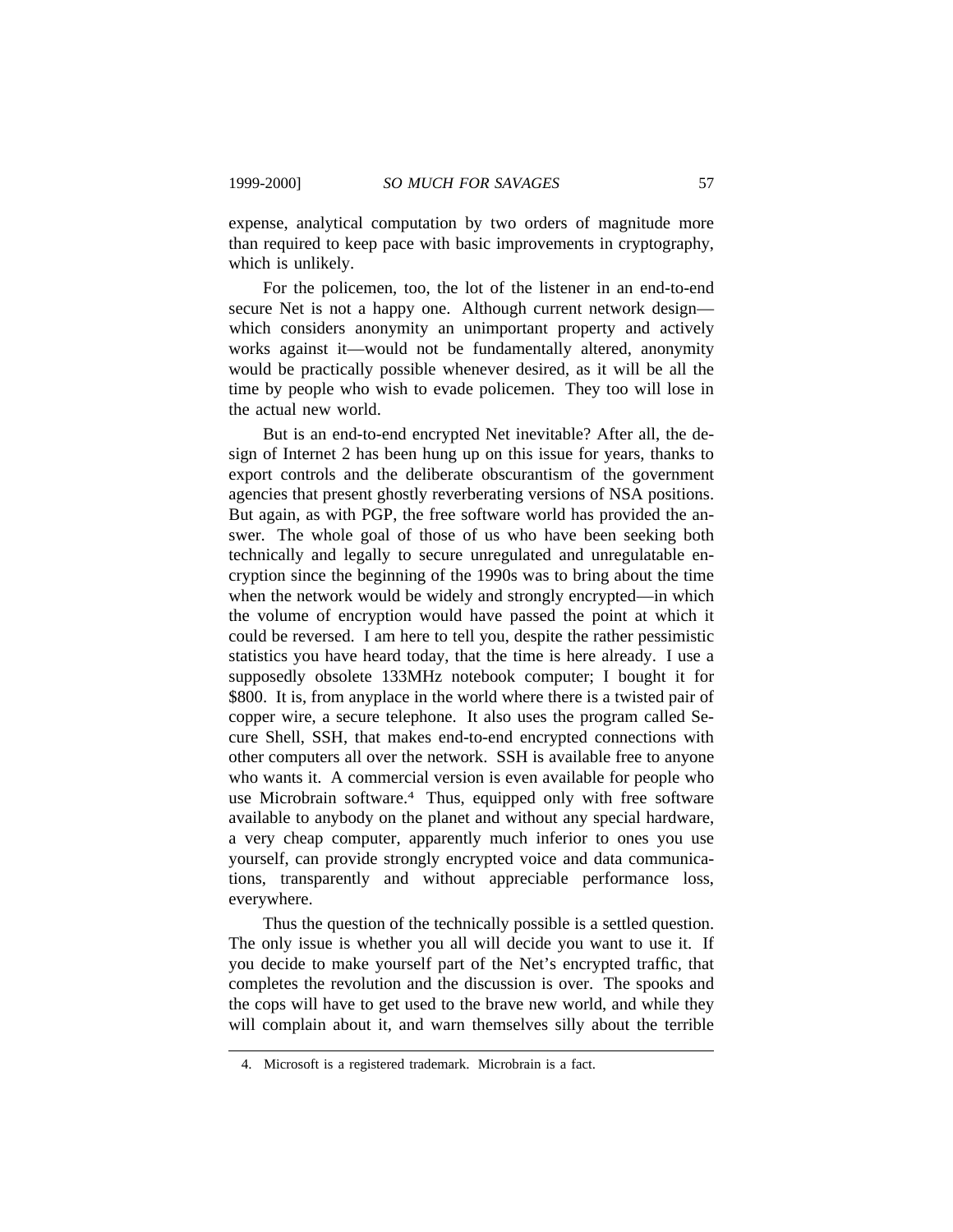expense, analytical computation by two orders of magnitude more than required to keep pace with basic improvements in cryptography, which is unlikely.

For the policemen, too, the lot of the listener in an end-to-end secure Net is not a happy one. Although current network design which considers anonymity an unimportant property and actively works against it—would not be fundamentally altered, anonymity would be practically possible whenever desired, as it will be all the time by people who wish to evade policemen. They too will lose in the actual new world.

But is an end-to-end encrypted Net inevitable? After all, the design of Internet 2 has been hung up on this issue for years, thanks to export controls and the deliberate obscurantism of the government agencies that present ghostly reverberating versions of NSA positions. But again, as with PGP, the free software world has provided the answer. The whole goal of those of us who have been seeking both technically and legally to secure unregulated and unregulatable encryption since the beginning of the 1990s was to bring about the time when the network would be widely and strongly encrypted—in which the volume of encryption would have passed the point at which it could be reversed. I am here to tell you, despite the rather pessimistic statistics you have heard today, that the time is here already. I use a supposedly obsolete 133MHz notebook computer; I bought it for \$800. It is, from anyplace in the world where there is a twisted pair of copper wire, a secure telephone. It also uses the program called Secure Shell, SSH, that makes end-to-end encrypted connections with other computers all over the network. SSH is available free to anyone who wants it. A commercial version is even available for people who use Microbrain software.4 Thus, equipped only with free software available to anybody on the planet and without any special hardware, a very cheap computer, apparently much inferior to ones you use yourself, can provide strongly encrypted voice and data communications, transparently and without appreciable performance loss, everywhere.

Thus the question of the technically possible is a settled question. The only issue is whether you all will decide you want to use it. If you decide to make yourself part of the Net's encrypted traffic, that completes the revolution and the discussion is over. The spooks and the cops will have to get used to the brave new world, and while they will complain about it, and warn themselves silly about the terrible

<sup>4.</sup> Microsoft is a registered trademark. Microbrain is a fact.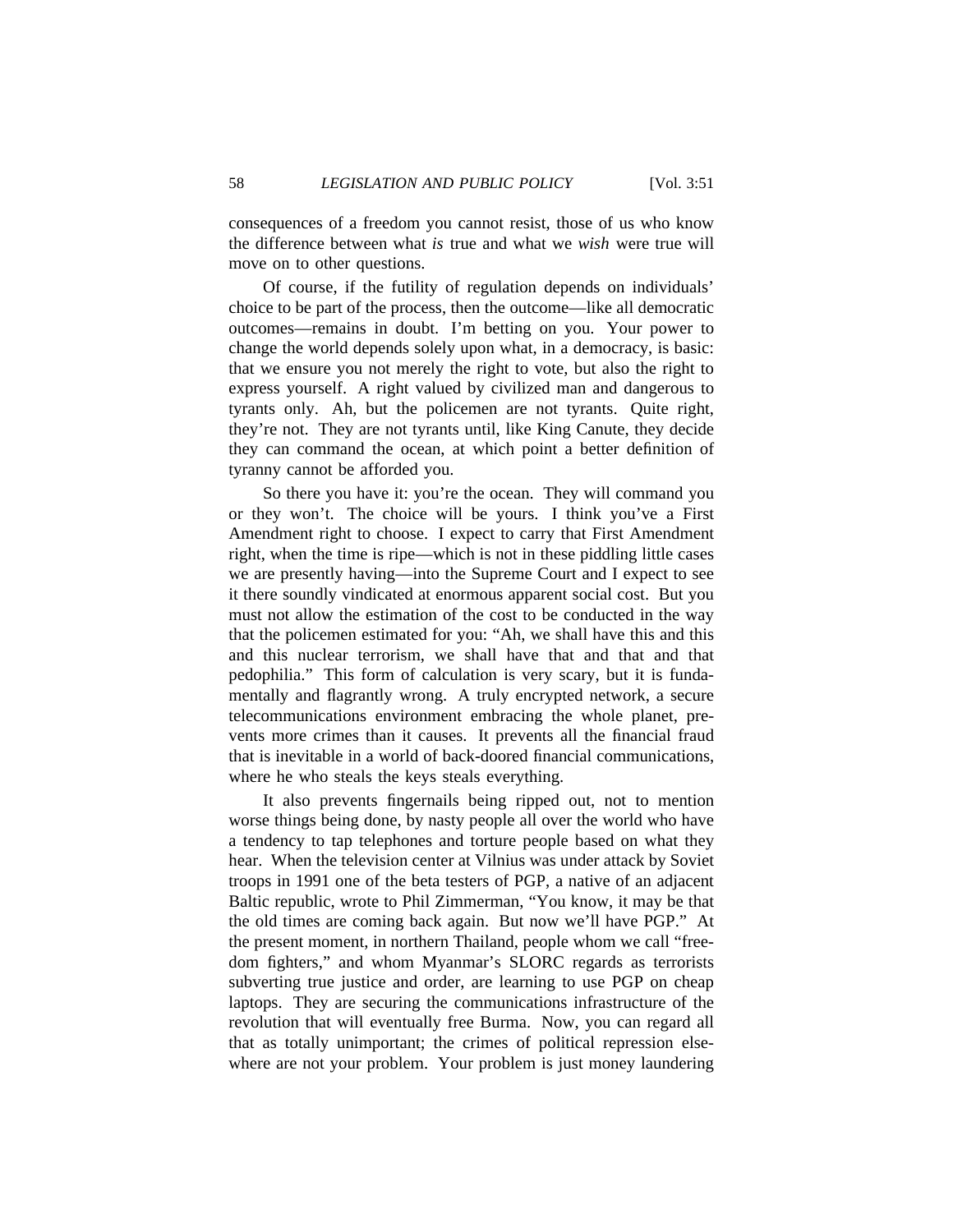consequences of a freedom you cannot resist, those of us who know the difference between what *is* true and what we *wish* were true will move on to other questions.

Of course, if the futility of regulation depends on individuals' choice to be part of the process, then the outcome—like all democratic outcomes—remains in doubt. I'm betting on you. Your power to change the world depends solely upon what, in a democracy, is basic: that we ensure you not merely the right to vote, but also the right to express yourself. A right valued by civilized man and dangerous to tyrants only. Ah, but the policemen are not tyrants. Quite right, they're not. They are not tyrants until, like King Canute, they decide they can command the ocean, at which point a better definition of tyranny cannot be afforded you.

So there you have it: you're the ocean. They will command you or they won't. The choice will be yours. I think you've a First Amendment right to choose. I expect to carry that First Amendment right, when the time is ripe—which is not in these piddling little cases we are presently having—into the Supreme Court and I expect to see it there soundly vindicated at enormous apparent social cost. But you must not allow the estimation of the cost to be conducted in the way that the policemen estimated for you: "Ah, we shall have this and this and this nuclear terrorism, we shall have that and that and that pedophilia." This form of calculation is very scary, but it is fundamentally and flagrantly wrong. A truly encrypted network, a secure telecommunications environment embracing the whole planet, prevents more crimes than it causes. It prevents all the financial fraud that is inevitable in a world of back-doored financial communications, where he who steals the keys steals everything.

It also prevents fingernails being ripped out, not to mention worse things being done, by nasty people all over the world who have a tendency to tap telephones and torture people based on what they hear. When the television center at Vilnius was under attack by Soviet troops in 1991 one of the beta testers of PGP, a native of an adjacent Baltic republic, wrote to Phil Zimmerman, "You know, it may be that the old times are coming back again. But now we'll have PGP." At the present moment, in northern Thailand, people whom we call "freedom fighters," and whom Myanmar's SLORC regards as terrorists subverting true justice and order, are learning to use PGP on cheap laptops. They are securing the communications infrastructure of the revolution that will eventually free Burma. Now, you can regard all that as totally unimportant; the crimes of political repression elsewhere are not your problem. Your problem is just money laundering